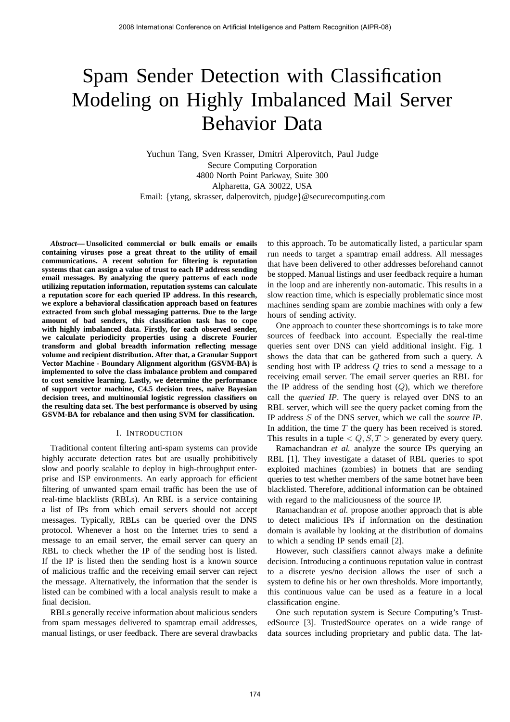# Spam Sender Detection with Classification Modeling on Highly Imbalanced Mail Server Behavior Data

Yuchun Tang, Sven Krasser, Dmitri Alperovitch, Paul Judge Secure Computing Corporation 4800 North Point Parkway, Suite 300 Alpharetta, GA 30022, USA Email: {ytang, skrasser, dalperovitch, pjudge}@securecomputing.com

*Abstract***— Unsolicited commercial or bulk emails or emails containing viruses pose a great threat to the utility of email communications. A recent solution for filtering is reputation systems that can assign a value of trust to each IP address sending email messages. By analyzing the query patterns of each node utilizing reputation information, reputation systems can calculate a reputation score for each queried IP address. In this research, we explore a behavioral classification approach based on features extracted from such global messaging patterns. Due to the large amount of bad senders, this classification task has to cope with highly imbalanced data. Firstly, for each observed sender, we calculate periodicity properties using a discrete Fourier transform and global breadth information reflecting message volume and recipient distribution. After that, a Granular Support Vector Machine - Boundary Alignment algorithm (GSVM-BA) is implemented to solve the class imbalance problem and compared to cost sensitive learning. Lastly, we determine the performance of support vector machine, C4.5 decision trees, na¨ıve Bayesian decision trees, and multinomial logistic regression classifiers on the resulting data set. The best performance is observed by using GSVM-BA for rebalance and then using SVM for classification.**

#### I. INTRODUCTION

Traditional content filtering anti-spam systems can provide highly accurate detection rates but are usually prohibitively slow and poorly scalable to deploy in high-throughput enterprise and ISP environments. An early approach for efficient filtering of unwanted spam email traffic has been the use of real-time blacklists (RBLs). An RBL is a service containing a list of IPs from which email servers should not accept messages. Typically, RBLs can be queried over the DNS protocol. Whenever a host on the Internet tries to send a message to an email server, the email server can query an RBL to check whether the IP of the sending host is listed. If the IP is listed then the sending host is a known source of malicious traffic and the receiving email server can reject the message. Alternatively, the information that the sender is listed can be combined with a local analysis result to make a final decision.

RBLs generally receive information about malicious senders from spam messages delivered to spamtrap email addresses, manual listings, or user feedback. There are several drawbacks to this approach. To be automatically listed, a particular spam run needs to target a spamtrap email address. All messages that have been delivered to other addresses beforehand cannot be stopped. Manual listings and user feedback require a human in the loop and are inherently non-automatic. This results in a slow reaction time, which is especially problematic since most machines sending spam are zombie machines with only a few hours of sending activity.

One approach to counter these shortcomings is to take more sources of feedback into account. Especially the real-time queries sent over DNS can yield additional insight. Fig. 1 shows the data that can be gathered from such a query. A sending host with IP address Q tries to send a message to a receiving email server. The email server queries an RBL for the IP address of the sending host  $(Q)$ , which we therefore call the *queried IP*. The query is relayed over DNS to an RBL server, which will see the query packet coming from the IP address S of the DNS server, which we call the *source IP*. In addition, the time  $T$  the query has been received is stored. This results in a tuple  $\langle Q, S, T \rangle$  generated by every query.

Ramachandran *et al.* analyze the source IPs querying an RBL [1]. They investigate a dataset of RBL queries to spot exploited machines (zombies) in botnets that are sending queries to test whether members of the same botnet have been blacklisted. Therefore, additional information can be obtained with regard to the maliciousness of the source IP.

Ramachandran *et al.* propose another approach that is able to detect malicious IPs if information on the destination domain is available by looking at the distribution of domains to which a sending IP sends email [2].

However, such classifiers cannot always make a definite decision. Introducing a continuous reputation value in contrast to a discrete yes/no decision allows the user of such a system to define his or her own thresholds. More importantly, this continuous value can be used as a feature in a local classification engine.

One such reputation system is Secure Computing's TrustedSource [3]. TrustedSource operates on a wide range of data sources including proprietary and public data. The lat-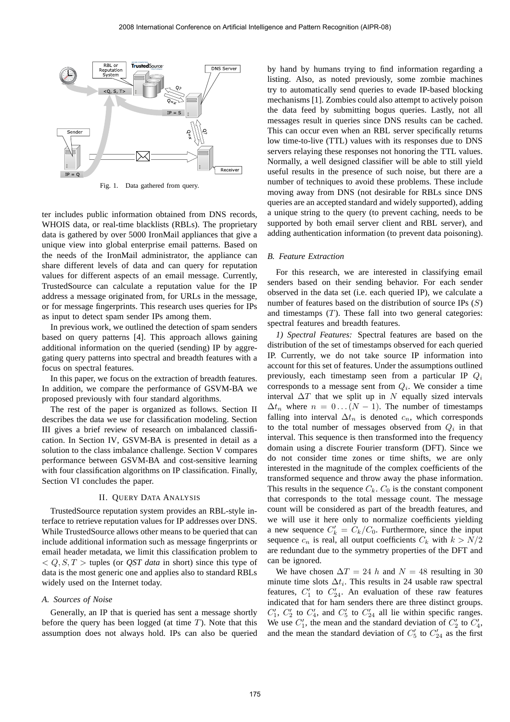

Fig. 1. Data gathered from query.

ter includes public information obtained from DNS records, WHOIS data, or real-time blacklists (RBLs). The proprietary data is gathered by over 5000 IronMail appliances that give a unique view into global enterprise email patterns. Based on the needs of the IronMail administrator, the appliance can share different levels of data and can query for reputation values for different aspects of an email message. Currently, TrustedSource can calculate a reputation value for the IP address a message originated from, for URLs in the message, or for message fingerprints. This research uses queries for IPs as input to detect spam sender IPs among them.

In previous work, we outlined the detection of spam senders based on query patterns [4]. This approach allows gaining additional information on the queried (sending) IP by aggregating query patterns into spectral and breadth features with a focus on spectral features.

In this paper, we focus on the extraction of breadth features. In addition, we compare the performance of GSVM-BA we proposed previously with four standard algorithms.

The rest of the paper is organized as follows. Section II describes the data we use for classification modeling. Section III gives a brief review of research on imbalanced classification. In Section IV, GSVM-BA is presented in detail as a solution to the class imbalance challenge. Section V compares performance between GSVM-BA and cost-sensitive learning with four classification algorithms on IP classification. Finally, Section VI concludes the paper.

#### II. QUERY DATA ANALYSIS

TrustedSource reputation system provides an RBL-style interface to retrieve reputation values for IP addresses over DNS. While TrustedSource allows other means to be queried that can include additional information such as message fingerprints or email header metadata, we limit this classification problem to  $Q, S, T >$  tuples (or *QST data* in short) since this type of data is the most generic one and applies also to standard RBLs widely used on the Internet today.

# *A. Sources of Noise*

Generally, an IP that is queried has sent a message shortly before the query has been logged (at time  $T$ ). Note that this assumption does not always hold. IPs can also be queried by hand by humans trying to find information regarding a listing. Also, as noted previously, some zombie machines try to automatically send queries to evade IP-based blocking mechanisms [1]. Zombies could also attempt to actively poison the data feed by submitting bogus queries. Lastly, not all messages result in queries since DNS results can be cached. This can occur even when an RBL server specifically returns low time-to-live (TTL) values with its responses due to DNS servers relaying these responses not honoring the TTL values. Normally, a well designed classifier will be able to still yield useful results in the presence of such noise, but there are a number of techniques to avoid these problems. These include moving away from DNS (not desirable for RBLs since DNS queries are an accepted standard and widely supported), adding a unique string to the query (to prevent caching, needs to be supported by both email server client and RBL server), and adding authentication information (to prevent data poisoning).

## *B. Feature Extraction*

For this research, we are interested in classifying email senders based on their sending behavior. For each sender observed in the data set (i.e. each queried IP), we calculate a number of features based on the distribution of source IPs  $(S)$ and timestamps  $(T)$ . These fall into two general categories: spectral features and breadth features.

*1) Spectral Features:* Spectral features are based on the distribution of the set of timestamps observed for each queried IP. Currently, we do not take source IP information into account for this set of features. Under the assumptions outlined previously, each timestamp seen from a particular IP  $Q_i$ corresponds to a message sent from  $Q_i$ . We consider a time interval  $\Delta T$  that we split up in N equally sized intervals  $\Delta t_n$  where  $n = 0 \dots (N - 1)$ . The number of timestamps falling into interval  $\Delta t_n$  is denoted  $c_n$ , which corresponds to the total number of messages observed from  $Q_i$  in that interval. This sequence is then transformed into the frequency domain using a discrete Fourier transform (DFT). Since we do not consider time zones or time shifts, we are only interested in the magnitude of the complex coefficients of the transformed sequence and throw away the phase information. This results in the sequence  $C_k$ .  $C_0$  is the constant component that corresponds to the total message count. The message count will be considered as part of the breadth features, and we will use it here only to normalize coefficients yielding a new sequence  $C'_k = C_k/C_0$ . Furthermore, since the input sequence  $c_n$  is real, all output coefficients  $C_k$  with  $k > N/2$ are redundant due to the symmetry properties of the DFT and can be ignored.

We have chosen  $\Delta T = 24$  h and  $N = 48$  resulting in 30 minute time slots  $\Delta t_i$ . This results in 24 usable raw spectral features,  $C_1'$  to  $C_{24}'$ . An evaluation of these raw features indicated that for ham senders there are three distinct groups.  $C'_1$ ,  $C'_2$  to  $C'_4$ , and  $C'_5$  to  $C'_{24}$  all lie within specific ranges. We use  $C'_1$ , the mean and the standard deviation of  $C'_2$  to  $C'_4$ , and the mean the standard deviation of  $C'_5$  to  $C'_{24}$  as the first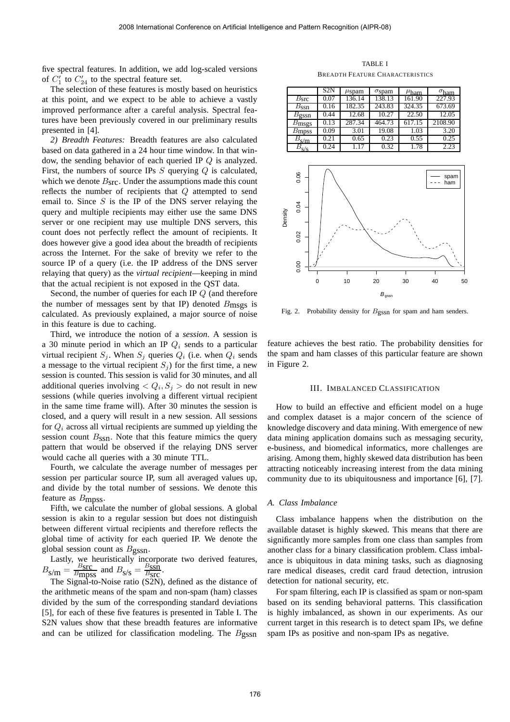five spectral features. In addition, we add log-scaled versions of  $C_1'$  to  $C_{24}'$  to the spectral feature set.

The selection of these features is mostly based on heuristics at this point, and we expect to be able to achieve a vastly improved performance after a careful analysis. Spectral features have been previously covered in our preliminary results presented in [4].

*2) Breadth Features:* Breadth features are also calculated based on data gathered in a 24 hour time window. In that window, the sending behavior of each queried IP Q is analyzed. First, the numbers of source IPs  $S$  querying  $Q$  is calculated, which we denote  $B<sub>src</sub>$ . Under the assumptions made this count reflects the number of recipients that Q attempted to send email to. Since  $S$  is the IP of the DNS server relaying the query and multiple recipients may either use the same DNS server or one recipient may use multiple DNS servers, this count does not perfectly reflect the amount of recipients. It does however give a good idea about the breadth of recipients across the Internet. For the sake of brevity we refer to the source IP of a query (i.e. the IP address of the DNS server relaying that query) as the *virtual recipient*—keeping in mind that the actual recipient is not exposed in the QST data.

Second, the number of queries for each IP Q (and therefore the number of messages sent by that IP) denoted  $B_{\text{msgs}}$  is calculated. As previously explained, a major source of noise in this feature is due to caching.

Third, we introduce the notion of a *session*. A session is a 30 minute period in which an IP  $Q_i$  sends to a particular virtual recipient  $S_i$ . When  $S_i$  queries  $Q_i$  (i.e. when  $Q_i$  sends a message to the virtual recipient  $S_i$ ) for the first time, a new session is counted. This session is valid for 30 minutes, and all additional queries involving  $Q_i, S_j >$  do not result in new sessions (while queries involving a different virtual recipient in the same time frame will). After 30 minutes the session is closed, and a query will result in a new session. All sessions for  $Q_i$  across all virtual recipients are summed up yielding the session count  $B_{\text{SSn}}$ . Note that this feature mimics the query pattern that would be observed if the relaying DNS server would cache all queries with a 30 minute TTL.

Fourth, we calculate the average number of messages per session per particular source IP, sum all averaged values up, and divide by the total number of sessions. We denote this feature as Bmpss.

Fifth, we calculate the number of global sessions. A global session is akin to a regular session but does not distinguish between different virtual recipients and therefore reflects the global time of activity for each queried IP. We denote the global session count as  $B_{\text{gssn}}$ .

Lastly, we heuristically incorporate two derived features,  $B_{\text{S/m}} = \frac{B_{\text{STC}}}{B_{\text{mDS}}}$  $\frac{B_{\text{SIC}}}{B_{\text{mpps}}}$  and  $B_{\text{s/s}} = \frac{B_{\text{SSn}}}{B_{\text{SIC}}}$  $\frac{B_{\rm SSD}}{B_{\rm STC}}$ .

The Signal-to-Noise ratio (S2N), defined as the distance of the arithmetic means of the spam and non-spam (ham) classes divided by the sum of the corresponding standard deviations [5], for each of these five features is presented in Table I. The S2N values show that these breadth features are informative and can be utilized for classification modeling. The Bgssn

TABLE I BREADTH FEATURE CHARACTERISTICS

|                   | S2N  | $\mu$ spam | $\sigma$ spam | $\mu_{\text{ham}}$ | $\sigma_{\text{ham}}$ |
|-------------------|------|------------|---------------|--------------------|-----------------------|
| B <sub>src</sub>  | 0.07 | 136.14     | 138.13        | 161.90             | 227.93                |
| $B_{\rm SSD}$     | 0.16 | 182.35     | 243.83        | 324.35             | 673.69                |
| $B_{\rm gssn}$    | 0.44 | 12.68      | 10.27         | 22.50              | 12.05                 |
| $B_{\rm msgs}$    | 0.13 | 287.34     | 464.73        | 617.15             | 2108.90               |
| B <sub>mpss</sub> | 0.09 | 3.01       | 19.08         | 1.03               | 3.20                  |
| $B_{\rm s/m}$     | 0.21 | 0.65       | 0.23          | 0.55               | 0.25                  |
| $B_{S/S}$         | 0.24 | 1.17       | 0.32          | 1.78               | 2.23                  |



Fig. 2. Probability density for Bgssn for spam and ham senders.

feature achieves the best ratio. The probability densities for the spam and ham classes of this particular feature are shown in Figure 2.

# III. IMBALANCED CLASSIFICATION

How to build an effective and efficient model on a huge and complex dataset is a major concern of the science of knowledge discovery and data mining. With emergence of new data mining application domains such as messaging security, e-business, and biomedical informatics, more challenges are arising. Among them, highly skewed data distribution has been attracting noticeably increasing interest from the data mining community due to its ubiquitousness and importance [6], [7].

#### *A. Class Imbalance*

Class imbalance happens when the distribution on the available dataset is highly skewed. This means that there are significantly more samples from one class than samples from another class for a binary classification problem. Class imbalance is ubiquitous in data mining tasks, such as diagnosing rare medical diseases, credit card fraud detection, intrusion detection for national security, etc.

For spam filtering, each IP is classified as spam or non-spam based on its sending behavioral patterns. This classification is highly imbalanced, as shown in our experiments. As our current target in this research is to detect spam IPs, we define spam IPs as positive and non-spam IPs as negative.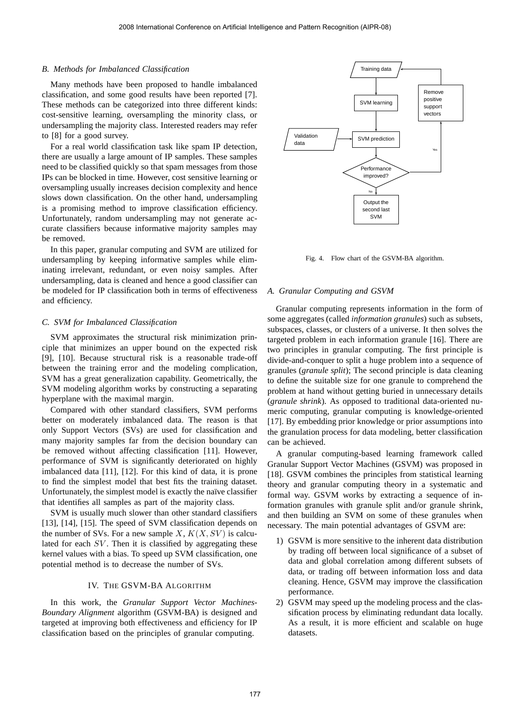### *B. Methods for Imbalanced Classification*

Many methods have been proposed to handle imbalanced classification, and some good results have been reported [7]. These methods can be categorized into three different kinds: cost-sensitive learning, oversampling the minority class, or undersampling the majority class. Interested readers may refer to [8] for a good survey.

For a real world classification task like spam IP detection, there are usually a large amount of IP samples. These samples need to be classified quickly so that spam messages from those IPs can be blocked in time. However, cost sensitive learning or oversampling usually increases decision complexity and hence slows down classification. On the other hand, undersampling is a promising method to improve classification efficiency. Unfortunately, random undersampling may not generate accurate classifiers because informative majority samples may be removed.

In this paper, granular computing and SVM are utilized for undersampling by keeping informative samples while eliminating irrelevant, redundant, or even noisy samples. After undersampling, data is cleaned and hence a good classifier can be modeled for IP classification both in terms of effectiveness and efficiency.

## *C. SVM for Imbalanced Classification*

SVM approximates the structural risk minimization principle that minimizes an upper bound on the expected risk [9], [10]. Because structural risk is a reasonable trade-off between the training error and the modeling complication, SVM has a great generalization capability. Geometrically, the SVM modeling algorithm works by constructing a separating hyperplane with the maximal margin.

Compared with other standard classifiers, SVM performs better on moderately imbalanced data. The reason is that only Support Vectors (SVs) are used for classification and many majority samples far from the decision boundary can be removed without affecting classification [11]. However, performance of SVM is significantly deteriorated on highly imbalanced data [11], [12]. For this kind of data, it is prone to find the simplest model that best fits the training dataset. Unfortunately, the simplest model is exactly the naïve classifier that identifies all samples as part of the majority class.

SVM is usually much slower than other standard classifiers [13], [14], [15]. The speed of SVM classification depends on the number of SVs. For a new sample X,  $K(X, SV)$  is calculated for each  $SV$ . Then it is classified by aggregating these kernel values with a bias. To speed up SVM classification, one potential method is to decrease the number of SVs.

# IV. THE GSVM-BA ALGORITHM

In this work, the *Granular Support Vector Machines-Boundary Alignment* algorithm (GSVM-BA) is designed and targeted at improving both effectiveness and efficiency for IP classification based on the principles of granular computing.



Fig. 4. Flow chart of the GSVM-BA algorithm.

## *A. Granular Computing and GSVM*

Granular computing represents information in the form of some aggregates (called *information granules*) such as subsets, subspaces, classes, or clusters of a universe. It then solves the targeted problem in each information granule [16]. There are two principles in granular computing. The first principle is divide-and-conquer to split a huge problem into a sequence of granules (*granule split*); The second principle is data cleaning to define the suitable size for one granule to comprehend the problem at hand without getting buried in unnecessary details (*granule shrink*). As opposed to traditional data-oriented numeric computing, granular computing is knowledge-oriented [17]. By embedding prior knowledge or prior assumptions into the granulation process for data modeling, better classification can be achieved.

A granular computing-based learning framework called Granular Support Vector Machines (GSVM) was proposed in [18]. GSVM combines the principles from statistical learning theory and granular computing theory in a systematic and formal way. GSVM works by extracting a sequence of information granules with granule split and/or granule shrink, and then building an SVM on some of these granules when necessary. The main potential advantages of GSVM are:

- 1) GSVM is more sensitive to the inherent data distribution by trading off between local significance of a subset of data and global correlation among different subsets of data, or trading off between information loss and data cleaning. Hence, GSVM may improve the classification performance.
- 2) GSVM may speed up the modeling process and the classification process by eliminating redundant data locally. As a result, it is more efficient and scalable on huge datasets.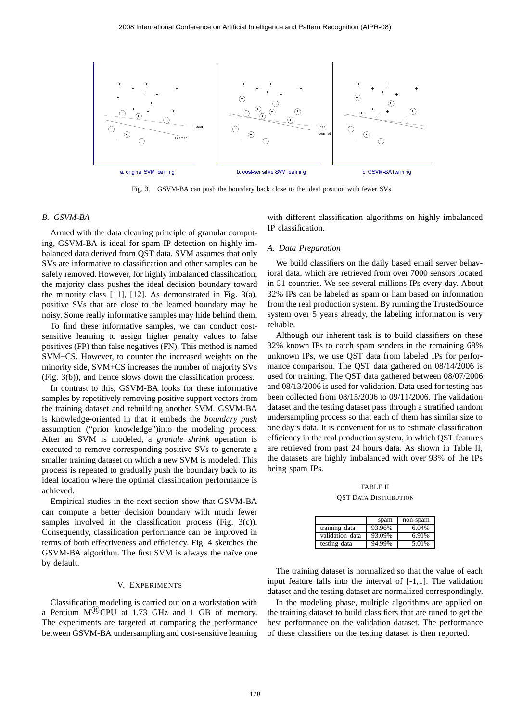

Fig. 3. GSVM-BA can push the boundary back close to the ideal position with fewer SVs.

#### *B. GSVM-BA*

Armed with the data cleaning principle of granular computing, GSVM-BA is ideal for spam IP detection on highly imbalanced data derived from QST data. SVM assumes that only SVs are informative to classification and other samples can be safely removed. However, for highly imbalanced classification, the majority class pushes the ideal decision boundary toward the minority class [11], [12]. As demonstrated in Fig. 3(a), positive SVs that are close to the learned boundary may be noisy. Some really informative samples may hide behind them.

To find these informative samples, we can conduct costsensitive learning to assign higher penalty values to false positives (FP) than false negatives (FN). This method is named SVM+CS. However, to counter the increased weights on the minority side, SVM+CS increases the number of majority SVs (Fig. 3(b)), and hence slows down the classification process.

In contrast to this, GSVM-BA looks for these informative samples by repetitively removing positive support vectors from the training dataset and rebuilding another SVM. GSVM-BA is knowledge-oriented in that it embeds the *boundary push* assumption ("prior knowledge")into the modeling process. After an SVM is modeled, a *granule shrink* operation is executed to remove corresponding positive SVs to generate a smaller training dataset on which a new SVM is modeled. This process is repeated to gradually push the boundary back to its ideal location where the optimal classification performance is achieved.

Empirical studies in the next section show that GSVM-BA can compute a better decision boundary with much fewer samples involved in the classification process (Fig. 3(c)). Consequently, classification performance can be improved in terms of both effectiveness and efficiency. Fig. 4 sketches the GSVM-BA algorithm. The first SVM is always the naïve one by default.

# V. EXPERIMENTS

Classification modeling is carried out on a workstation with a Pentium  $M^{(R)}$ CPU at 1.73 GHz and 1 GB of memory. The experiments are targeted at comparing the performance between GSVM-BA undersampling and cost-sensitive learning with different classification algorithms on highly imbalanced IP classification.

## *A. Data Preparation*

We build classifiers on the daily based email server behavioral data, which are retrieved from over 7000 sensors located in 51 countries. We see several millions IPs every day. About 32% IPs can be labeled as spam or ham based on information from the real production system. By running the TrustedSource system over 5 years already, the labeling information is very reliable.

Although our inherent task is to build classifiers on these 32% known IPs to catch spam senders in the remaining 68% unknown IPs, we use QST data from labeled IPs for performance comparison. The QST data gathered on 08/14/2006 is used for training. The QST data gathered between 08/07/2006 and 08/13/2006 is used for validation. Data used for testing has been collected from 08/15/2006 to 09/11/2006. The validation dataset and the testing dataset pass through a stratified random undersampling process so that each of them has similar size to one day's data. It is convenient for us to estimate classification efficiency in the real production system, in which QST features are retrieved from past 24 hours data. As shown in Table II, the datasets are highly imbalanced with over 93% of the IPs being spam IPs.

TABLE II QST DATA DISTRIBUTION

|                 | spam   | non-spam |
|-----------------|--------|----------|
| training data   | 93.96% | 6.04%    |
| validation data | 93.09% | 6.91%    |
| testing data    | 94.99% | 5.01%    |

The training dataset is normalized so that the value of each input feature falls into the interval of [-1,1]. The validation dataset and the testing dataset are normalized correspondingly.

In the modeling phase, multiple algorithms are applied on the training dataset to build classifiers that are tuned to get the best performance on the validation dataset. The performance of these classifiers on the testing dataset is then reported.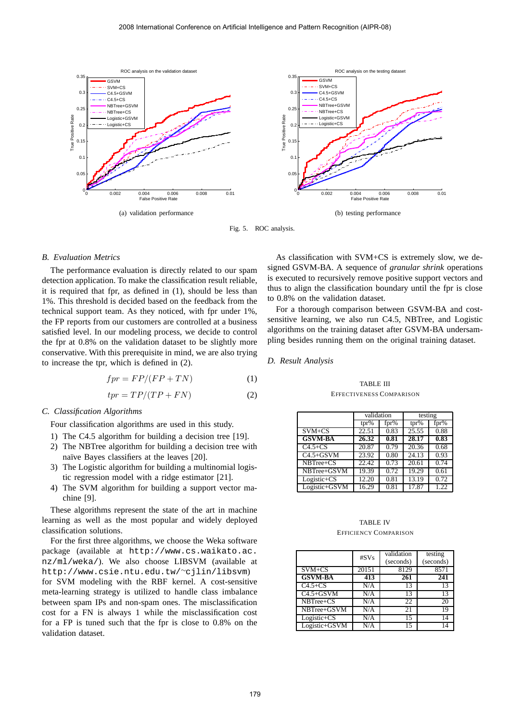

Fig. 5. ROC analysis.

## *B. Evaluation Metrics*

The performance evaluation is directly related to our spam detection application. To make the classification result reliable, it is required that fpr, as defined in (1), should be less than 1%. This threshold is decided based on the feedback from the technical support team. As they noticed, with fpr under 1%, the FP reports from our customers are controlled at a business satisfied level. In our modeling process, we decide to control the fpr at 0.8% on the validation dataset to be slightly more conservative. With this prerequisite in mind, we are also trying to increase the tpr, which is defined in (2).

$$
fpr = FP/(FP + TN)
$$
 (1)

$$
tpr = TP/(TP + FN)
$$
 (2)

## *C. Classification Algorithms*

Four classification algorithms are used in this study.

- 1) The C4.5 algorithm for building a decision tree [19].
- 2) The NBTree algorithm for building a decision tree with naïve Bayes classifiers at the leaves [20].
- 3) The Logistic algorithm for building a multinomial logistic regression model with a ridge estimator [21].
- 4) The SVM algorithm for building a support vector machine [9].

These algorithms represent the state of the art in machine learning as well as the most popular and widely deployed classification solutions.

For the first three algorithms, we choose the Weka software package (available at http://www.cs.waikato.ac. nz/ml/weka/). We also choose LIBSVM (available at http://www.csie.ntu.edu.tw/<sup>∼</sup>cjlin/libsvm) for SVM modeling with the RBF kernel. A cost-sensitive meta-learning strategy is utilized to handle class imbalance between spam IPs and non-spam ones. The misclassification cost for a FN is always 1 while the misclassification cost for a FP is tuned such that the fpr is close to 0.8% on the validation dataset.

As classification with SVM+CS is extremely slow, we designed GSVM-BA. A sequence of *granular shrink* operations is executed to recursively remove positive support vectors and thus to align the classification boundary until the fpr is close to 0.8% on the validation dataset.

For a thorough comparison between GSVM-BA and costsensitive learning, we also run C4.5, NBTree, and Logistic algorithms on the training dataset after GSVM-BA undersampling besides running them on the original training dataset.

## *D. Result Analysis*

TABLE III EFFECTIVENESS COMPARISON

|                                | validation |      | testing |      |
|--------------------------------|------------|------|---------|------|
|                                | $tpr\%$    | fpr% | $tpr\%$ | fpr% |
| $SVM + CS$                     | 22.51      | 0.83 | 25.55   | 0.88 |
| <b>GSVM-BA</b>                 | 26.32      | 0.81 | 28.17   | 0.83 |
| $C4.5+CS$                      | 20.87      | 0.79 | 20.36   | 0.68 |
| $C4.5+GSVM$                    | 23.92      | 0.80 | 24.13   | 0.93 |
| $\overline{\text{NBT}}$ ree+CS | 22.42      | 0.73 | 20.61   | 0.74 |
| NBTree+GSVM                    | 19.39      | 0.72 | 19.29   | 0.61 |
| Logistic+CS                    | 12.20      | 0.81 | 13.19   | 0.72 |
| Logistic+GSVM                  | 16.29      | 0.81 | 17.87   | 1.22 |

## TABLE IV EFFICIENCY COMPARISON

|                 | #SVs  | validation<br>(seconds) | testing<br>(seconds) |
|-----------------|-------|-------------------------|----------------------|
| $SVM + CS$      | 20151 | 8129                    | 8571                 |
| <b>GSVM-BA</b>  | 413   | 261                     | 241                  |
| $C4.5+CS$       | N/A   | 13                      | 13                   |
| $C4.5+GSVM$     | N/A   | 13                      | 13                   |
| NBTree+CS       | N/A   | 22                      | 20                   |
| NBTree+GSVM     | N/A   | 21                      | 19                   |
| $Logistic + CS$ | N/A   | 15                      | 14                   |
| Logistic+GSVM   | N/A   | 15                      | 14                   |